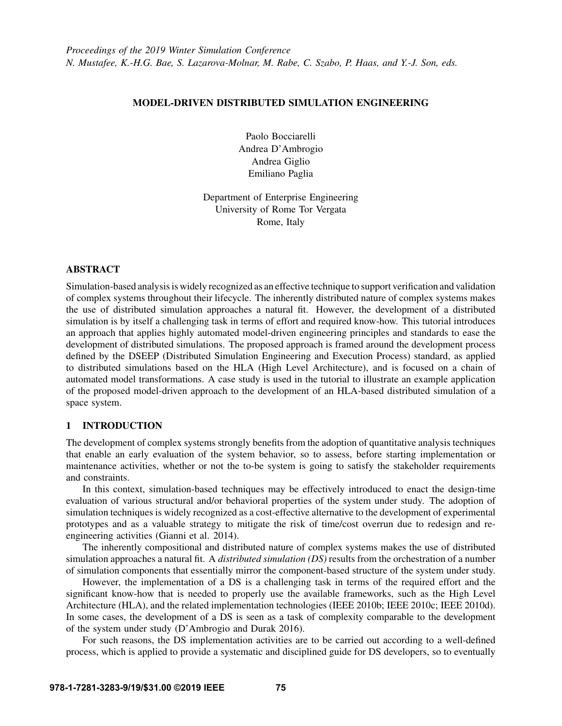### MODEL-DRIVEN DISTRIBUTED SIMULATION ENGINEERING

Paolo Bocciarelli Andrea D'Ambrogio Andrea Giglio Emiliano Paglia

Department of Enterprise Engineering University of Rome Tor Vergata Rome, Italy

### ABSTRACT

Simulation-based analysis is widely recognized as an effective technique to support verification and validation of complex systems throughout their lifecycle. The inherently distributed nature of complex systems makes the use of distributed simulation approaches a natural fit. However, the development of a distributed simulation is by itself a challenging task in terms of effort and required know-how. This tutorial introduces an approach that applies highly automated model-driven engineering principles and standards to ease the development of distributed simulations. The proposed approach is framed around the development process defined by the DSEEP (Distributed Simulation Engineering and Execution Process) standard, as applied to distributed simulations based on the HLA (High Level Architecture), and is focused on a chain of automated model transformations. A case study is used in the tutorial to illustrate an example application of the proposed model-driven approach to the development of an HLA-based distributed simulation of a space system.

### 1 INTRODUCTION

The development of complex systems strongly benefits from the adoption of quantitative analysis techniques that enable an early evaluation of the system behavior, so to assess, before starting implementation or maintenance activities, whether or not the to-be system is going to satisfy the stakeholder requirements and constraints.

In this context, simulation-based techniques may be effectively introduced to enact the design-time evaluation of various structural and/or behavioral properties of the system under study. The adoption of simulation techniques is widely recognized as a cost-effective alternative to the development of experimental prototypes and as a valuable strategy to mitigate the risk of time/cost overrun due to redesign and reengineering activities [\(Gianni et al. 2014\)](#page-14-0).

The inherently compositional and distributed nature of complex systems makes the use of distributed simulation approaches a natural fit. A *distributed simulation (DS)* results from the orchestration of a number of simulation components that essentially mirror the component-based structure of the system under study.

However, the implementation of a DS is a challenging task in terms of the required effort and the significant know-how that is needed to properly use the available frameworks, such as the High Level Architecture (HLA), and the related implementation technologies [\(IEEE 2010b;](#page-14-1) [IEEE 2010c;](#page-14-2) [IEEE 2010d\)](#page-14-3). In some cases, the development of a DS is seen as a task of complexity comparable to the development of the system under study [\(D'Ambrogio and Durak 2016\)](#page-14-4).

For such reasons, the DS implementation activities are to be carried out according to a well-defined process, which is applied to provide a systematic and disciplined guide for DS developers, so to eventually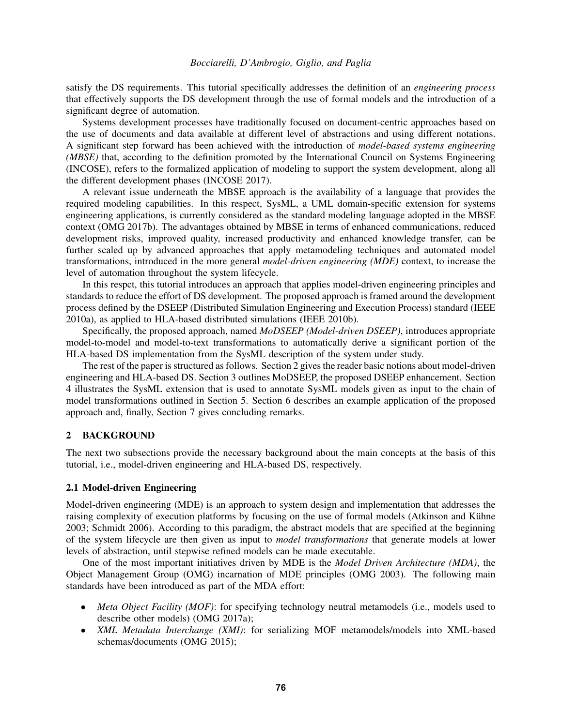satisfy the DS requirements. This tutorial specifically addresses the definition of an *engineering process* that effectively supports the DS development through the use of formal models and the introduction of a significant degree of automation.

Systems development processes have traditionally focused on document-centric approaches based on the use of documents and data available at different level of abstractions and using different notations. A significant step forward has been achieved with the introduction of *model-based systems engineering (MBSE)* that, according to the definition promoted by the International Council on Systems Engineering (INCOSE), refers to the formalized application of modeling to support the system development, along all the different development phases [\(INCOSE 2017\)](#page-14-5).

A relevant issue underneath the MBSE approach is the availability of a language that provides the required modeling capabilities. In this respect, SysML, a UML domain-specific extension for systems engineering applications, is currently considered as the standard modeling language adopted in the MBSE context [\(OMG 2017b\)](#page-14-6). The advantages obtained by MBSE in terms of enhanced communications, reduced development risks, improved quality, increased productivity and enhanced knowledge transfer, can be further scaled up by advanced approaches that apply metamodeling techniques and automated model transformations, introduced in the more general *model-driven engineering (MDE)* context, to increase the level of automation throughout the system lifecycle.

In this respct, this tutorial introduces an approach that applies model-driven engineering principles and standards to reduce the effort of DS development. The proposed approach is framed around the development process defined by the DSEEP (Distributed Simulation Engineering and Execution Process) standard [\(IEEE](#page-14-7) [2010a\)](#page-14-7), as applied to HLA-based distributed simulations [\(IEEE 2010b\)](#page-14-1).

Specifically, the proposed approach, named *MoDSEEP (Model-driven DSEEP)*, introduces appropriate model-to-model and model-to-text transformations to automatically derive a significant portion of the HLA-based DS implementation from the SysML description of the system under study.

The rest of the paper is structured as follows. Section [2](#page-1-0) gives the reader basic notions about model-driven engineering and HLA-based DS. Section [3](#page-3-0) outlines MoDSEEP, the proposed DSEEP enhancement. Section [4](#page-5-0) illustrates the SysML extension that is used to annotate SysML models given as input to the chain of model transformations outlined in Section [5.](#page-6-0) Section [6](#page-9-0) describes an example application of the proposed approach and, finally, Section [7](#page-12-0) gives concluding remarks.

### <span id="page-1-0"></span>2 BACKGROUND

The next two subsections provide the necessary background about the main concepts at the basis of this tutorial, i.e., model-driven engineering and HLA-based DS, respectively.

#### 2.1 Model-driven Engineering

Model-driven engineering (MDE) is an approach to system design and implementation that addresses the raising complexity of execution platforms by focusing on the use of formal models (Atkinson and Kühne [2003;](#page-13-0) [Schmidt 2006\)](#page-14-8). According to this paradigm, the abstract models that are specified at the beginning of the system lifecycle are then given as input to *model transformations* that generate models at lower levels of abstraction, until stepwise refined models can be made executable.

One of the most important initiatives driven by MDE is the *Model Driven Architecture (MDA)*, the Object Management Group (OMG) incarnation of MDE principles [\(OMG 2003\)](#page-14-9). The following main standards have been introduced as part of the MDA effort:

- *Meta Object Facility (MOF)*: for specifying technology neutral metamodels (i.e., models used to describe other models) [\(OMG 2017a\)](#page-14-10);
- *XML Metadata Interchange (XMI)*: for serializing MOF metamodels/models into XML-based schemas/documents [\(OMG 2015\)](#page-14-11);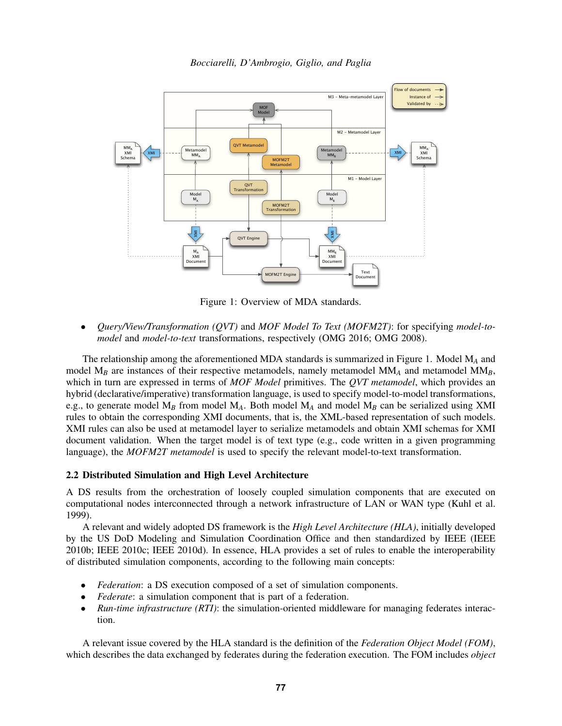*Bocciarelli, D'Ambrogio, Giglio, and Paglia*

<span id="page-2-0"></span>

Figure 1: Overview of MDA standards.

• *Query/View/Transformation (QVT)* and *MOF Model To Text (MOFM2T)*: for specifying *model-tomodel* and *model-to-text* transformations, respectively [\(OMG 2016;](#page-14-12) [OMG 2008\)](#page-14-13).

The relationship among the aforementioned MDA standards is summarized in Figure [1.](#page-2-0) Model M*<sup>A</sup>* and model  $M_B$  are instances of their respective metamodels, namely metamodel  $M M_A$  and metamodel  $M M_B$ , which in turn are expressed in terms of *MOF Model* primitives. The *QVT metamodel*, which provides an hybrid (declarative/imperative) transformation language, is used to specify model-to-model transformations, e.g., to generate model M*<sup>B</sup>* from model M*A*. Both model M*<sup>A</sup>* and model M*<sup>B</sup>* can be serialized using XMI rules to obtain the corresponding XMI documents, that is, the XML-based representation of such models. XMI rules can also be used at metamodel layer to serialize metamodels and obtain XMI schemas for XMI document validation. When the target model is of text type (e.g., code written in a given programming language), the *MOFM2T metamodel* is used to specify the relevant model-to-text transformation.

### 2.2 Distributed Simulation and High Level Architecture

A DS results from the orchestration of loosely coupled simulation components that are executed on computational nodes interconnected through a network infrastructure of LAN or WAN type [\(Kuhl et al.](#page-14-14) [1999\)](#page-14-14).

A relevant and widely adopted DS framework is the *High Level Architecture (HLA)*, initially developed by the US DoD Modeling and Simulation Coordination Office and then standardized by IEEE [\(IEEE](#page-14-1) [2010b;](#page-14-1) [IEEE 2010c;](#page-14-2) [IEEE 2010d\)](#page-14-3). In essence, HLA provides a set of rules to enable the interoperability of distributed simulation components, according to the following main concepts:

- *Federation*: a DS execution composed of a set of simulation components.
- *Federate*: a simulation component that is part of a federation.
- *Run-time infrastructure (RTI)*: the simulation-oriented middleware for managing federates interaction.

A relevant issue covered by the HLA standard is the definition of the *Federation Object Model (FOM)*, which describes the data exchanged by federates during the federation execution. The FOM includes *object*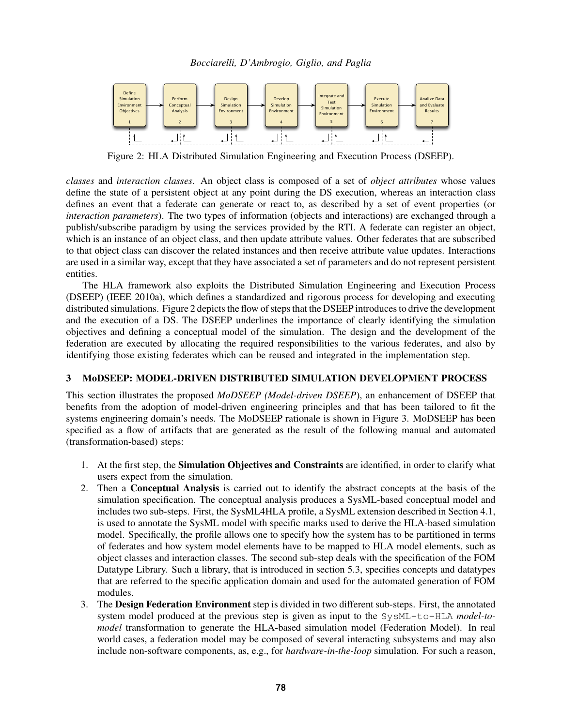*Bocciarelli, D'Ambrogio, Giglio, and Paglia*

<span id="page-3-1"></span>

Figure 2: HLA Distributed Simulation Engineering and Execution Process (DSEEP).

*classes* and *interaction classes*. An object class is composed of a set of *object attributes* whose values define the state of a persistent object at any point during the DS execution, whereas an interaction class defines an event that a federate can generate or react to, as described by a set of event properties (or *interaction parameters*). The two types of information (objects and interactions) are exchanged through a publish/subscribe paradigm by using the services provided by the RTI. A federate can register an object, which is an instance of an object class, and then update attribute values. Other federates that are subscribed to that object class can discover the related instances and then receive attribute value updates. Interactions are used in a similar way, except that they have associated a set of parameters and do not represent persistent entities.

The HLA framework also exploits the Distributed Simulation Engineering and Execution Process (DSEEP) [\(IEEE 2010a\)](#page-14-7), which defines a standardized and rigorous process for developing and executing distributed simulations. Figure [2](#page-3-1) depicts the flow of steps that the DSEEP introduces to drive the development and the execution of a DS. The DSEEP underlines the importance of clearly identifying the simulation objectives and defining a conceptual model of the simulation. The design and the development of the federation are executed by allocating the required responsibilities to the various federates, and also by identifying those existing federates which can be reused and integrated in the implementation step.

## <span id="page-3-0"></span>3 MoDSEEP: MODEL-DRIVEN DISTRIBUTED SIMULATION DEVELOPMENT PROCESS

This section illustrates the proposed *MoDSEEP (Model-driven DSEEP*), an enhancement of DSEEP that benefits from the adoption of model-driven engineering principles and that has been tailored to fit the systems engineering domain's needs. The MoDSEEP rationale is shown in Figure [3.](#page-4-0) MoDSEEP has been specified as a flow of artifacts that are generated as the result of the following manual and automated (transformation-based) steps:

- 1. At the first step, the Simulation Objectives and Constraints are identified, in order to clarify what users expect from the simulation.
- 2. Then a Conceptual Analysis is carried out to identify the abstract concepts at the basis of the simulation specification. The conceptual analysis produces a SysML-based conceptual model and includes two sub-steps. First, the SysML4HLA profile, a SysML extension described in Section [4.1,](#page-5-1) is used to annotate the SysML model with specific marks used to derive the HLA-based simulation model. Specifically, the profile allows one to specify how the system has to be partitioned in terms of federates and how system model elements have to be mapped to HLA model elements, such as object classes and interaction classes. The second sub-step deals with the specification of the FOM Datatype Library. Such a library, that is introduced in section [5.3,](#page-7-0) specifies concepts and datatypes that are referred to the specific application domain and used for the automated generation of FOM modules.
- 3. The Design Federation Environment step is divided in two different sub-steps. First, the annotated system model produced at the previous step is given as input to the SysML-to-HLA *model-tomodel* transformation to generate the HLA-based simulation model (Federation Model). In real world cases, a federation model may be composed of several interacting subsystems and may also include non-software components, as, e.g., for *hardware-in-the-loop* simulation. For such a reason,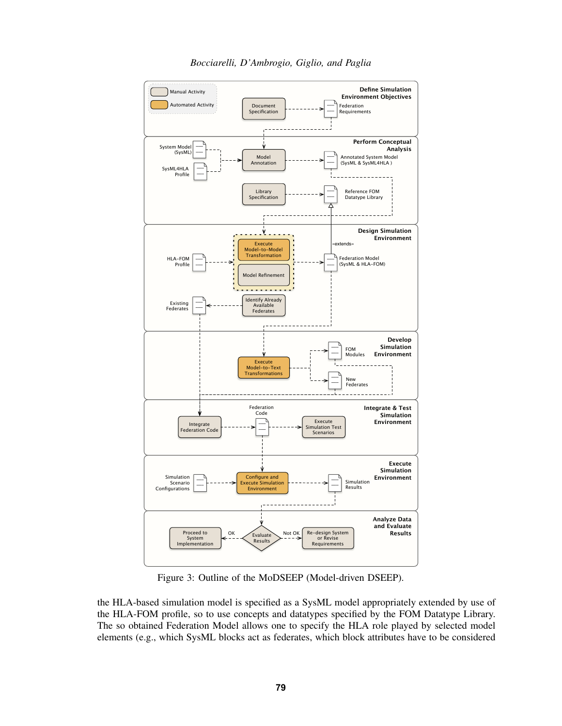<span id="page-4-0"></span>

*Bocciarelli, D'Ambrogio, Giglio, and Paglia*

Figure 3: Outline of the MoDSEEP (Model-driven DSEEP).

the HLA-based simulation model is specified as a SysML model appropriately extended by use of the HLA-FOM profile, so to use concepts and datatypes specified by the FOM Datatype Library. The so obtained Federation Model allows one to specify the HLA role played by selected model elements (e.g., which SysML blocks act as federates, which block attributes have to be considered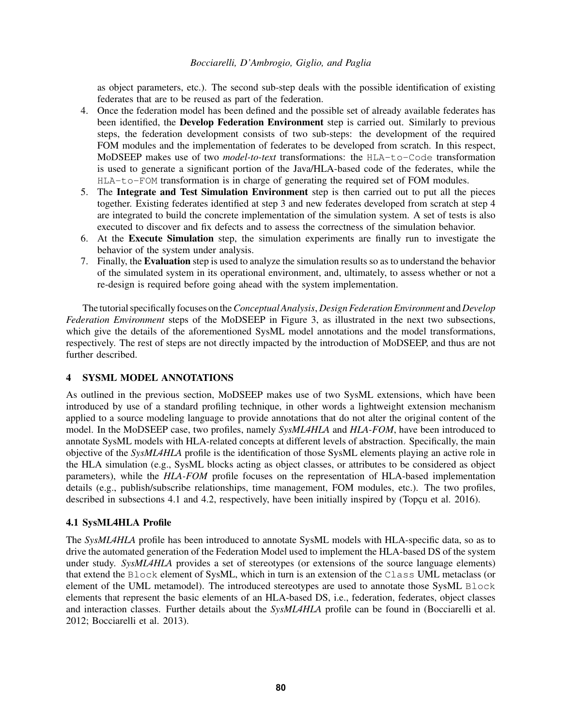as object parameters, etc.). The second sub-step deals with the possible identification of existing federates that are to be reused as part of the federation.

- 4. Once the federation model has been defined and the possible set of already available federates has been identified, the Develop Federation Environment step is carried out. Similarly to previous steps, the federation development consists of two sub-steps: the development of the required FOM modules and the implementation of federates to be developed from scratch. In this respect, MoDSEEP makes use of two *model-to-text* transformations: the HLA-to-Code transformation is used to generate a significant portion of the Java/HLA-based code of the federates, while the HLA-to-FOM transformation is in charge of generating the required set of FOM modules.
- 5. The Integrate and Test Simulation Environment step is then carried out to put all the pieces together. Existing federates identified at step 3 and new federates developed from scratch at step 4 are integrated to build the concrete implementation of the simulation system. A set of tests is also executed to discover and fix defects and to assess the correctness of the simulation behavior.
- 6. At the Execute Simulation step, the simulation experiments are finally run to investigate the behavior of the system under analysis.
- 7. Finally, the Evaluation step is used to analyze the simulation results so as to understand the behavior of the simulated system in its operational environment, and, ultimately, to assess whether or not a re-design is required before going ahead with the system implementation.

The tutorial specifically focuses on the*Conceptual Analysis*, *Design Federation Environment* and*Develop Federation Environment* steps of the MoDSEEP in Figure [3,](#page-4-0) as illustrated in the next two subsections, which give the details of the aforementioned SysML model annotations and the model transformations, respectively. The rest of steps are not directly impacted by the introduction of MoDSEEP, and thus are not further described.

## <span id="page-5-0"></span>4 SYSML MODEL ANNOTATIONS

As outlined in the previous section, MoDSEEP makes use of two SysML extensions, which have been introduced by use of a standard profiling technique, in other words a lightweight extension mechanism applied to a source modeling language to provide annotations that do not alter the original content of the model. In the MoDSEEP case, two profiles, namely *SysML4HLA* and *HLA-FOM*, have been introduced to annotate SysML models with HLA-related concepts at different levels of abstraction. Specifically, the main objective of the *SysML4HLA* profile is the identification of those SysML elements playing an active role in the HLA simulation (e.g., SysML blocks acting as object classes, or attributes to be considered as object parameters), while the *HLA-FOM* profile focuses on the representation of HLA-based implementation details (e.g., publish/subscribe relationships, time management, FOM modules, etc.). The two profiles, described in subsections [4.1](#page-5-1) and [4.2,](#page-6-1) respectively, have been initially inspired by (Topcu et al.  $2016$ ).

## <span id="page-5-1"></span>4.1 SysML4HLA Profile

The *SysML4HLA* profile has been introduced to annotate SysML models with HLA-specific data, so as to drive the automated generation of the Federation Model used to implement the HLA-based DS of the system under study. *SysML4HLA* provides a set of stereotypes (or extensions of the source language elements) that extend the Block element of SysML, which in turn is an extension of the Class UML metaclass (or element of the UML metamodel). The introduced stereotypes are used to annotate those SysML Block elements that represent the basic elements of an HLA-based DS, i.e., federation, federates, object classes and interaction classes. Further details about the *SysML4HLA* profile can be found in [\(Bocciarelli et al.](#page-13-1) [2012;](#page-13-1) [Bocciarelli et al. 2013\)](#page-14-16).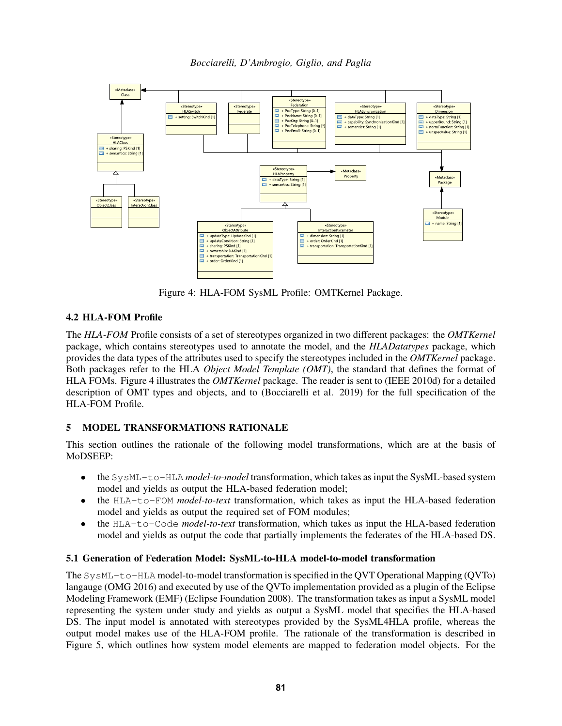*Bocciarelli, D'Ambrogio, Giglio, and Paglia*

<span id="page-6-2"></span>

Figure 4: HLA-FOM SysML Profile: OMTKernel Package.

# <span id="page-6-1"></span>4.2 HLA-FOM Profile

The *HLA-FOM* Profile consists of a set of stereotypes organized in two different packages: the *OMTKernel* package, which contains stereotypes used to annotate the model, and the *HLADatatypes* package, which provides the data types of the attributes used to specify the stereotypes included in the *OMTKernel* package. Both packages refer to the HLA *Object Model Template (OMT)*, the standard that defines the format of HLA FOMs. Figure [4](#page-6-2) illustrates the *OMTKernel* package. The reader is sent to [\(IEEE 2010d\)](#page-14-3) for a detailed description of OMT types and objects, and to [\(Bocciarelli et al. 2019\)](#page-14-17) for the full specification of the HLA-FOM Profile.

# <span id="page-6-0"></span>5 MODEL TRANSFORMATIONS RATIONALE

This section outlines the rationale of the following model transformations, which are at the basis of MoDSEEP:

- the SysML-to-HLA *model-to-model* transformation, which takes as input the SysML-based system model and yields as output the HLA-based federation model;
- the HLA-to-FOM *model-to-text* transformation, which takes as input the HLA-based federation model and yields as output the required set of FOM modules;
- the HLA-to-Code *model-to-text* transformation, which takes as input the HLA-based federation model and yields as output the code that partially implements the federates of the HLA-based DS.

# 5.1 Generation of Federation Model: SysML-to-HLA model-to-model transformation

The SysML-to-HLA model-to-model transformation is specified in the QVT Operational Mapping (QVTo) langauge [\(OMG 2016\)](#page-14-12) and executed by use of the QVTo implementation provided as a plugin of the Eclipse Modeling Framework (EMF) [\(Eclipse Foundation 2008\)](#page-14-18). The transformation takes as input a SysML model representing the system under study and yields as output a SysML model that specifies the HLA-based DS. The input model is annotated with stereotypes provided by the SysML4HLA profile, whereas the output model makes use of the HLA-FOM profile. The rationale of the transformation is described in Figure [5,](#page-7-1) which outlines how system model elements are mapped to federation model objects. For the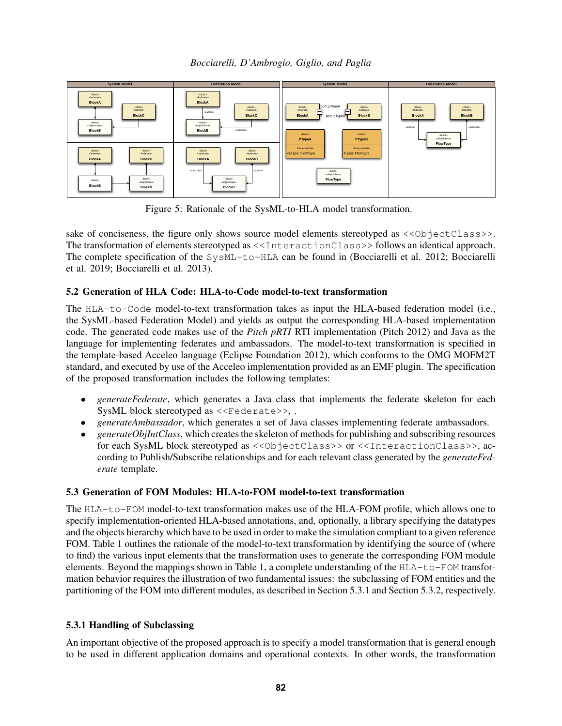*Bocciarelli, D'Ambrogio, Giglio, and Paglia*

<span id="page-7-1"></span>

Figure 5: Rationale of the SysML-to-HLA model transformation.

sake of conciseness, the figure only shows source model elements stereotyped as  $\langle\langle\delta\rangle\rangle = \langle\langle\delta\rangle\rangle$ The transformation of elements stereotyped as <<InteractionClass>> follows an identical approach. The complete specification of the SysML-to-HLA can be found in [\(Bocciarelli et al. 2012;](#page-13-1) [Bocciarelli](#page-13-2) [et al. 2019;](#page-13-2) [Bocciarelli et al. 2013\)](#page-14-16).

## 5.2 Generation of HLA Code: HLA-to-Code model-to-text transformation

The HLA-to-Code model-to-text transformation takes as input the HLA-based federation model (i.e., the SysML-based Federation Model) and yields as output the corresponding HLA-based implementation code. The generated code makes use of the *Pitch pRTI* RTI implementation [\(Pitch 2012\)](#page-14-19) and Java as the language for implementing federates and ambassadors. The model-to-text transformation is specified in the template-based Acceleo language [\(Eclipse Foundation 2012\)](#page-14-20), which conforms to the OMG MOFM2T standard, and executed by use of the Acceleo implementation provided as an EMF plugin. The specification of the proposed transformation includes the following templates:

- *generateFederate*, which generates a Java class that implements the federate skeleton for each SysML block stereotyped as <<Federate>>, .
- *generateAmbassador*, which generates a set of Java classes implementing federate ambassadors.
- *generateObjIntClass*, which creates the skeleton of methods for publishing and subscribing resources for each SysML block stereotyped as <<ObjectClass>> or <<InteractionClass>>, according to Publish/Subscribe relationships and for each relevant class generated by the *generateFederate* template.

## <span id="page-7-0"></span>5.3 Generation of FOM Modules: HLA-to-FOM model-to-text transformation

The HLA-to-FOM model-to-text transformation makes use of the HLA-FOM profile, which allows one to specify implementation-oriented HLA-based annotations, and, optionally, a library specifying the datatypes and the objects hierarchy which have to be used in order to make the simulation compliant to a given reference FOM. Table [1](#page-8-0) outlines the rationale of the model-to-text transformation by identifying the source of (where to find) the various input elements that the transformation uses to generate the corresponding FOM module elements. Beyond the mappings shown in Table [1,](#page-8-0) a complete understanding of the  $HLA-to-FORM$  transformation behavior requires the illustration of two fundamental issues: the subclassing of FOM entities and the partitioning of the FOM into different modules, as described in Section [5.3.1](#page-7-2) and Section [5.3.2,](#page-9-1) respectively.

## <span id="page-7-2"></span>5.3.1 Handling of Subclassing

An important objective of the proposed approach is to specify a model transformation that is general enough to be used in different application domains and operational contexts. In other words, the transformation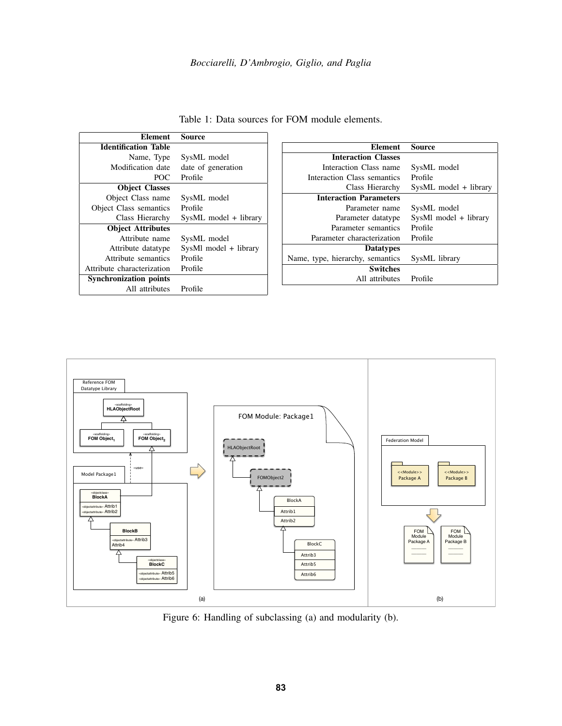<span id="page-8-0"></span>

| <b>Element</b>                | Source                |
|-------------------------------|-----------------------|
| <b>Identification Table</b>   |                       |
| Name, Type                    | SysML model           |
| Modification date             | date of generation    |
| POC.                          | Profile               |
| <b>Object Classes</b>         |                       |
| Object Class name             | SysML model           |
| Object Class semantics        | Profile               |
| Class Hierarchy               | SysML model + library |
| <b>Object Attributes</b>      |                       |
| Attribute name                | SysML model           |
| Attribute datatype            | SysMl model + library |
| Attribute semantics           | Profile               |
| Attribute characterization    | Profile               |
| <b>Synchronization points</b> |                       |
| All attributes                | Profile               |

| Table 1: Data sources for FOM module elements. |  |
|------------------------------------------------|--|
|------------------------------------------------|--|

| Element                          | Source                |
|----------------------------------|-----------------------|
| <b>Interaction Classes</b>       |                       |
|                                  |                       |
| Interaction Class name           | SysML model           |
| Interaction Class semantics      | Profile               |
| Class Hierarchy                  | SysML model + library |
| <b>Interaction Parameters</b>    |                       |
| Parameter name                   | SysML model           |
| Parameter datatype               | SysMl model + library |
| Parameter semantics              | Profile               |
| Parameter characterization       | Profile               |
| <b>Datatypes</b>                 |                       |
| Name, type, hierarchy, semantics | SysML library         |
| <b>Switches</b>                  |                       |
| All attributes                   | Profile               |

<span id="page-8-1"></span>

Figure 6: Handling of subclassing (a) and modularity (b).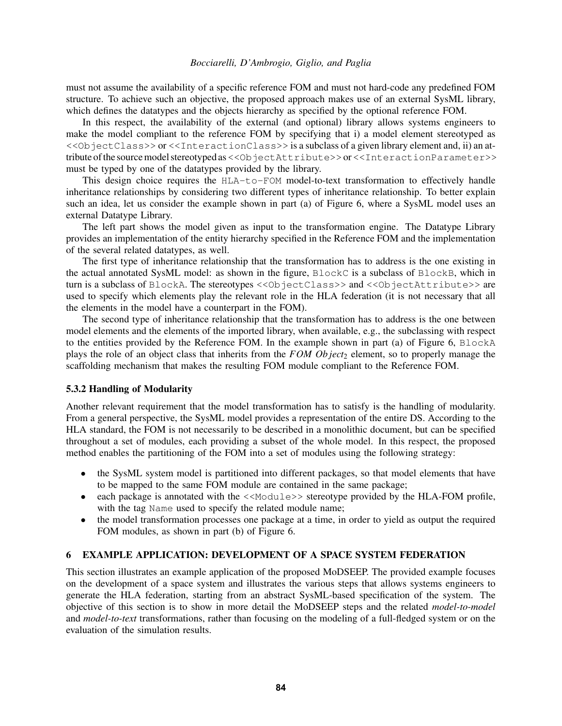must not assume the availability of a specific reference FOM and must not hard-code any predefined FOM structure. To achieve such an objective, the proposed approach makes use of an external SysML library, which defines the datatypes and the objects hierarchy as specified by the optional reference FOM.

In this respect, the availability of the external (and optional) library allows systems engineers to make the model compliant to the reference FOM by specifying that i) a model element stereotyped as <<ObjectClass>> or <<InteractionClass>> is a subclass of a given library element and, ii) an attribute of the source model stereotyped as << ObjectAttribute>>or << InteractionParameter>>>>>> must be typed by one of the datatypes provided by the library.

This design choice requires the HLA-to-FOM model-to-text transformation to effectively handle inheritance relationships by considering two different types of inheritance relationship. To better explain such an idea, let us consider the example shown in part (a) of Figure [6,](#page-8-1) where a SysML model uses an external Datatype Library.

The left part shows the model given as input to the transformation engine. The Datatype Library provides an implementation of the entity hierarchy specified in the Reference FOM and the implementation of the several related datatypes, as well.

The first type of inheritance relationship that the transformation has to address is the one existing in the actual annotated SysML model: as shown in the figure, BlockC is a subclass of BlockB, which in turn is a subclass of BlockA. The stereotypes << ObjectClass>> and << ObjectAttribute>> are used to specify which elements play the relevant role in the HLA federation (it is not necessary that all the elements in the model have a counterpart in the FOM).

The second type of inheritance relationship that the transformation has to address is the one between model elements and the elements of the imported library, when available, e.g., the subclassing with respect to the entities provided by the Reference FOM. In the example shown in part (a) of Figure [6,](#page-8-1) BlockA plays the role of an object class that inherits from the *FOM Object*<sub>2</sub> element, so to properly manage the scaffolding mechanism that makes the resulting FOM module compliant to the Reference FOM.

### <span id="page-9-1"></span>5.3.2 Handling of Modularity

Another relevant requirement that the model transformation has to satisfy is the handling of modularity. From a general perspective, the SysML model provides a representation of the entire DS. According to the HLA standard, the FOM is not necessarily to be described in a monolithic document, but can be specified throughout a set of modules, each providing a subset of the whole model. In this respect, the proposed method enables the partitioning of the FOM into a set of modules using the following strategy:

- the SysML system model is partitioned into different packages, so that model elements that have to be mapped to the same FOM module are contained in the same package;
- each package is annotated with the  $\langle\langle \text{Mod}_1 \rangle \rangle$  stereotype provided by the HLA-FOM profile, with the tag Name used to specify the related module name;
- the model transformation processes one package at a time, in order to yield as output the required FOM modules, as shown in part (b) of Figure [6.](#page-8-1)

### <span id="page-9-0"></span>6 EXAMPLE APPLICATION: DEVELOPMENT OF A SPACE SYSTEM FEDERATION

This section illustrates an example application of the proposed MoDSEEP. The provided example focuses on the development of a space system and illustrates the various steps that allows systems engineers to generate the HLA federation, starting from an abstract SysML-based specification of the system. The objective of this section is to show in more detail the MoDSEEP steps and the related *model-to-model* and *model-to-text* transformations, rather than focusing on the modeling of a full-fledged system or on the evaluation of the simulation results.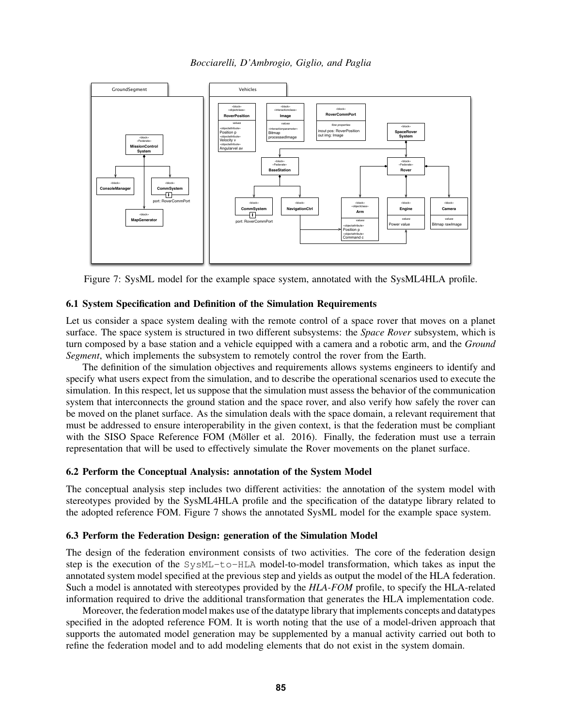*Bocciarelli, D'Ambrogio, Giglio, and Paglia*

<span id="page-10-0"></span>

Figure 7: SysML model for the example space system, annotated with the SysML4HLA profile.

### 6.1 System Specification and Definition of the Simulation Requirements

Let us consider a space system dealing with the remote control of a space rover that moves on a planet surface. The space system is structured in two different subsystems: the *Space Rover* subsystem, which is turn composed by a base station and a vehicle equipped with a camera and a robotic arm, and the *Ground Segment*, which implements the subsystem to remotely control the rover from the Earth.

The definition of the simulation objectives and requirements allows systems engineers to identify and specify what users expect from the simulation, and to describe the operational scenarios used to execute the simulation. In this respect, let us suppose that the simulation must assess the behavior of the communication system that interconnects the ground station and the space rover, and also verify how safely the rover can be moved on the planet surface. As the simulation deals with the space domain, a relevant requirement that must be addressed to ensure interoperability in the given context, is that the federation must be compliant with the SISO Space Reference FOM (Möller et al. 2016). Finally, the federation must use a terrain representation that will be used to effectively simulate the Rover movements on the planet surface.

#### 6.2 Perform the Conceptual Analysis: annotation of the System Model

The conceptual analysis step includes two different activities: the annotation of the system model with stereotypes provided by the SysML4HLA profile and the specification of the datatype library related to the adopted reference FOM. Figure [7](#page-10-0) shows the annotated SysML model for the example space system.

### 6.3 Perform the Federation Design: generation of the Simulation Model

The design of the federation environment consists of two activities. The core of the federation design step is the execution of the SysML-to-HLA model-to-model transformation, which takes as input the annotated system model specified at the previous step and yields as output the model of the HLA federation. Such a model is annotated with stereotypes provided by the *HLA-FOM* profile, to specify the HLA-related information required to drive the additional transformation that generates the HLA implementation code.

Moreover, the federation model makes use of the datatype library that implements concepts and datatypes specified in the adopted reference FOM. It is worth noting that the use of a model-driven approach that supports the automated model generation may be supplemented by a manual activity carried out both to refine the federation model and to add modeling elements that do not exist in the system domain.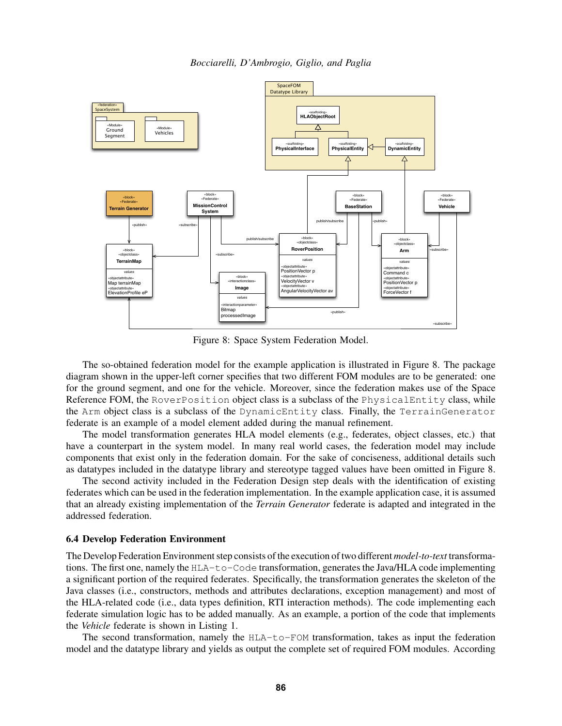*Bocciarelli, D'Ambrogio, Giglio, and Paglia*

<span id="page-11-0"></span>

Figure 8: Space System Federation Model.

The so-obtained federation model for the example application is illustrated in Figure [8.](#page-11-0) The package diagram shown in the upper-left corner specifies that two different FOM modules are to be generated: one for the ground segment, and one for the vehicle. Moreover, since the federation makes use of the Space Reference FOM, the RoverPosition object class is a subclass of the PhysicalEntity class, while the Arm object class is a subclass of the DynamicEntity class. Finally, the TerrainGenerator federate is an example of a model element added during the manual refinement.

The model transformation generates HLA model elements (e.g., federates, object classes, etc.) that have a counterpart in the system model. In many real world cases, the federation model may include components that exist only in the federation domain. For the sake of conciseness, additional details such as datatypes included in the datatype library and stereotype tagged values have been omitted in Figure [8.](#page-11-0)

The second activity included in the Federation Design step deals with the identification of existing federates which can be used in the federation implementation. In the example application case, it is assumed that an already existing implementation of the *Terrain Generator* federate is adapted and integrated in the addressed federation.

#### 6.4 Develop Federation Environment

The Develop Federation Environment step consists of the execution of two different *model-to-text* transformations. The first one, namely the HLA-to-Code transformation, generates the Java/HLA code implementing a significant portion of the required federates. Specifically, the transformation generates the skeleton of the Java classes (i.e., constructors, methods and attributes declarations, exception management) and most of the HLA-related code (i.e., data types definition, RTI interaction methods). The code implementing each federate simulation logic has to be added manually. As an example, a portion of the code that implements the *Vehicle* federate is shown in Listing [1.](#page-12-1)

The second transformation, namely the HLA-to-FOM transformation, takes as input the federation model and the datatype library and yields as output the complete set of required FOM modules. According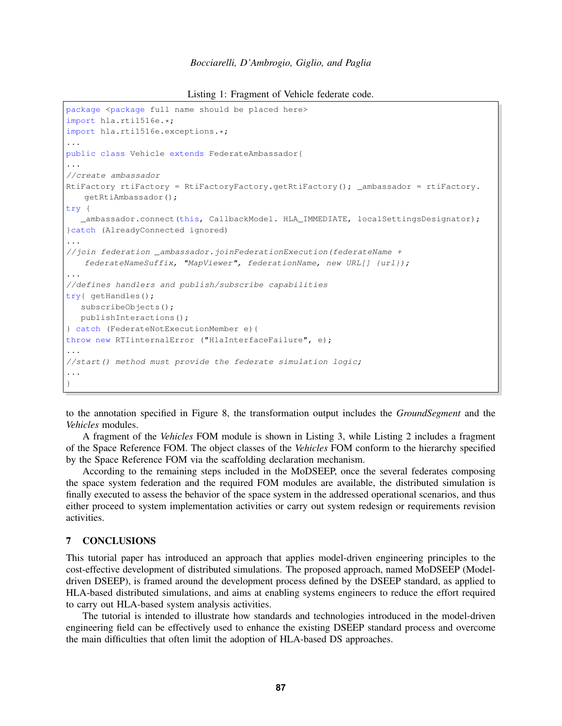```
Listing 1: Fragment of Vehicle federate code.
```

```
package <package full name should be placed here>
import hla.rti1516e.*;
import hla.rti1516e.exceptions.*;
...
public class Vehicle extends FederateAmbassador{
...
//create ambassador
RtiFactory rtiFactory = RtiFactoryFactory.getRtiFactory(); _ambassador = rtiFactory.
   getRtiAmbassador();
try {
   _ambassador.connect(this, CallbackModel. HLA_IMMEDIATE, localSettingsDesignator);
}catch (AlreadyConnected ignored)
...
//join federation _ambassador.joinFederationExecution(federateName +
   federateNameSuffix, "MapViewer", federationName, new URL[] {url});
...
//defines handlers and publish/subscribe capabilities
try{ getHandles();
   subscribeObjects();
  publishInteractions();
} catch (FederateNotExecutionMember e){
throw new RTIinternalError ("HlaInterfaceFailure", e);
...
//start() method must provide the federate simulation logic;
...
}
```
to the annotation specified in Figure [8,](#page-11-0) the transformation output includes the *GroundSegment* and the *Vehicles* modules.

A fragment of the *Vehicles* FOM module is shown in Listing [3,](#page-13-3) while Listing [2](#page-13-4) includes a fragment of the Space Reference FOM. The object classes of the *Vehicles* FOM conform to the hierarchy specified by the Space Reference FOM via the scaffolding declaration mechanism.

According to the remaining steps included in the MoDSEEP, once the several federates composing the space system federation and the required FOM modules are available, the distributed simulation is finally executed to assess the behavior of the space system in the addressed operational scenarios, and thus either proceed to system implementation activities or carry out system redesign or requirements revision activities.

### <span id="page-12-0"></span>7 CONCLUSIONS

This tutorial paper has introduced an approach that applies model-driven engineering principles to the cost-effective development of distributed simulations. The proposed approach, named MoDSEEP (Modeldriven DSEEP), is framed around the development process defined by the DSEEP standard, as applied to HLA-based distributed simulations, and aims at enabling systems engineers to reduce the effort required to carry out HLA-based system analysis activities.

The tutorial is intended to illustrate how standards and technologies introduced in the model-driven engineering field can be effectively used to enhance the existing DSEEP standard process and overcome the main difficulties that often limit the adoption of HLA-based DS approaches.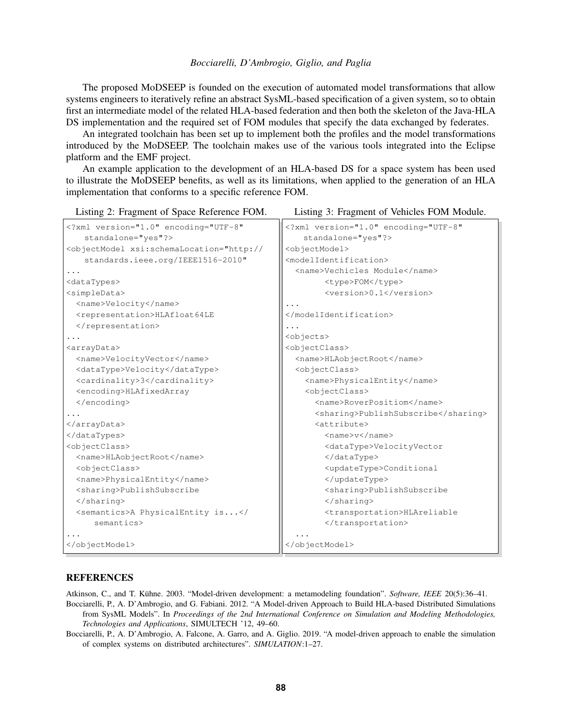The proposed MoDSEEP is founded on the execution of automated model transformations that allow systems engineers to iteratively refine an abstract SysML-based specification of a given system, so to obtain first an intermediate model of the related HLA-based federation and then both the skeleton of the Java-HLA DS implementation and the required set of FOM modules that specify the data exchanged by federates.

An integrated toolchain has been set up to implement both the profiles and the model transformations introduced by the MoDSEEP. The toolchain makes use of the various tools integrated into the Eclipse platform and the EMF project.

An example application to the development of an HLA-based DS for a space system has been used to illustrate the MoDSEEP benefits, as well as its limitations, when applied to the generation of an HLA implementation that conforms to a specific reference FOM.

```
Listing 2: Fragment of Space Reference FOM.
<?xml version="1.0" encoding="UTF-8"
   standalone="yes"?>
<objectModel xsi:schemaLocation="http://
   standards.ieee.org/IEEE1516-2010"
...
<dataTypes>
<simpleData>
  <name>Velocity</name>
  <representation>HLAfloat64LE
  </representation>
...
<arrayData>
  <name>VelocityVector</name>
  <dataType>Velocity</dataType>
  <cardinality>3</cardinality>
  <encoding>HLAfixedArray
  </encoding>
...
</arrayData>
</dataTypes>
<objectClass>
  <name>HLAobjectRoot</name>
  <objectClass>
                                                Listing 3: Fragment of Vehicles FOM Module.
                                              <?xml version="1.0" encoding="UTF-8"
                                                  standalone="yes"?>
                                              <objectModel>
                                              <modelIdentification>
                                                <name>Vechicles Module</name>
                                                      <type>FOM</type>
                                                      <version>0.1</version>
                                              ...
                                              </modelIdentification>
                                              ...
                                              <objects>
                                              <objectClass>
                                                <name>HLAobjectRoot</name>
                                                <objectClass>
                                                  <name>PhysicalEntity</name>
                                                  <objectClass>
                                                    <name>RoverPositiom</name>
                                                    <sharing>PublishSubscribe</sharing>
                                                    <attribute>
                                                      <name>v</name>
                                                      <dataType>VelocityVector
                                                      </dataType>
                                                      <updateType>Conditional
```
#### **REFERENCES**

</sharing>

</objectModel>

...

semantics>

<name>PhysicalEntity</name> <sharing>PublishSubscribe

<semantics>A PhysicalEntity is...</

<span id="page-13-0"></span>Atkinson, C., and T. Kühne. 2003. "Model-driven development: a metamodeling foundation". Software, IEEE 20(5):36-41.

<span id="page-13-1"></span>Bocciarelli, P., A. D'Ambrogio, and G. Fabiani. 2012. "A Model-driven Approach to Build HLA-based Distributed Simulations from SysML Models". In *Proceedings of the 2nd International Conference on Simulation and Modeling Methodologies, Technologies and Applications*, SIMULTECH '12, 49–60.

...

</objectModel>

</updateType>

</transportation>

</sharing>

<sharing>PublishSubscribe

<transportation>HLAreliable

<span id="page-13-2"></span>Bocciarelli, P., A. D'Ambrogio, A. Falcone, A. Garro, and A. Giglio. 2019. "A model-driven approach to enable the simulation of complex systems on distributed architectures". *SIMULATION*:1–27.